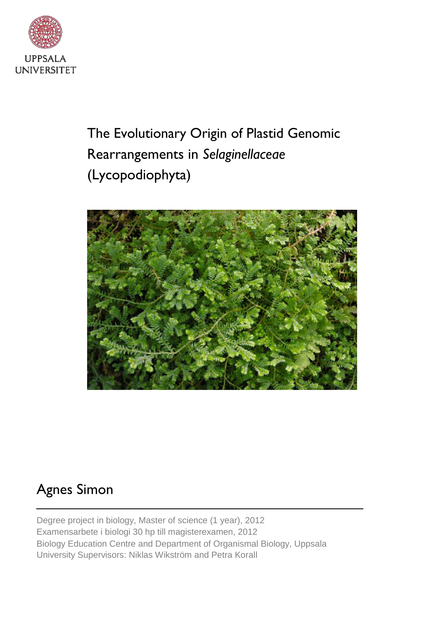

The Evolutionary Origin of Plastid Genomic Rearrangements in *Selaginellaceae* (Lycopodiophyta)



# Agnes Simon

Degree project in biology, Master of science (1 year), 2012 Examensarbete i biologi 30 hp till magisterexamen, 2012 Biology Education Centre and Department of Organismal Biology, Uppsala University Supervisors: Niklas Wikström and Petra Korall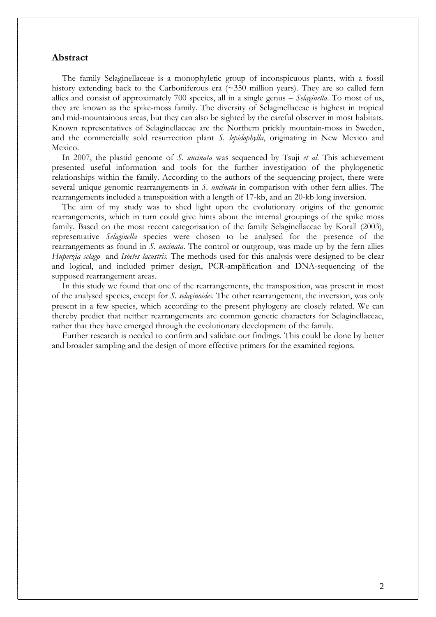## **Abstract**

 The family Selaginellaceae is a monophyletic group of inconspicuous plants, with a fossil history extending back to the Carboniferous era (~350 million years). They are so called fern allies and consist of approximately 700 species, all in a single genus – *Selaginella*. To most of us, they are known as the spike-moss family. The diversity of Selaginellaceae is highest in tropical and mid-mountainous areas, but they can also be sighted by the careful observer in most habitats. Known representatives of Selaginellaceae are the Northern prickly mountain-moss in Sweden, and the commercially sold resurrection plant *S. lepidophylla*, originating in New Mexico and Mexico.

 In 2007, the plastid genome of *S. uncinata* was sequenced by Tsuji *et al*. This achievement presented useful information and tools for the further investigation of the phylogenetic relationships within the family. According to the authors of the sequencing project, there were several unique genomic rearrangements in *S. uncinata* in comparison with other fern allies. The rearrangements included a transposition with a length of 17-kb, and an 20-kb long inversion.

 The aim of my study was to shed light upon the evolutionary origins of the genomic rearrangements, which in turn could give hints about the internal groupings of the spike moss family. Based on the most recent categorisation of the family Selaginellaceae by Korall (2003), representative *Selaginella* species were chosen to be analysed for the presence of the rearrangements as found in *S. uncinata*. The control or outgroup, was made up by the fern allies *Huperzia selago* and *Isöetes lacustris.* The methods used for this analysis were designed to be clear and logical, and included primer design, PCR-amplification and DNA-sequencing of the supposed rearrangement areas.

 In this study we found that one of the rearrangements, the transposition, was present in most of the analysed species, except for *S. selaginoides*. The other rearrangement, the inversion, was only present in a few species, which according to the present phylogeny are closely related. We can thereby predict that neither rearrangements are common genetic characters for Selaginellaceae, rather that they have emerged through the evolutionary development of the family.

 Further research is needed to confirm and validate our findings. This could be done by better and broader sampling and the design of more effective primers for the examined regions.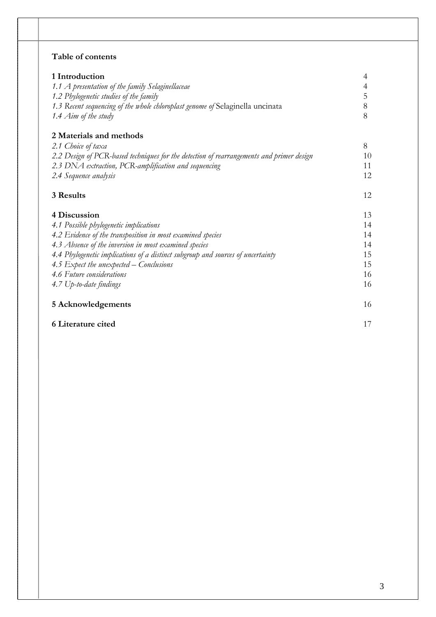# **Table of contents**

| 1 Introduction                                                                           | 4  |
|------------------------------------------------------------------------------------------|----|
| 1.1 A presentation of the family Selaginellaceae                                         | 4  |
| 1.2 Phylogenetic studies of the family                                                   | 5  |
| 1.3 Recent sequencing of the whole chloroplast genome of Selaginella uncinata            | 8  |
| 1.4 Aim of the study                                                                     | 8  |
| 2 Materials and methods                                                                  |    |
| 2.1 Choice of taxa                                                                       | 8  |
| 2.2 Design of PCR-based techniques for the detection of rearrangements and primer design | 10 |
| 2.3 DNA extraction, PCR-amplification and sequencing                                     | 11 |
| 2.4 Sequence analysis                                                                    | 12 |
| 3 Results                                                                                | 12 |
| 4 Discussion                                                                             | 13 |
| 4.1 Possible phylogenetic implications                                                   | 14 |
| 4.2 Evidence of the transposition in most examined species                               | 14 |
| 4.3 Absence of the inversion in most examined species                                    | 14 |
| 4.4 Phylogenetic implications of a distinct subgroup and sources of uncertainty          | 15 |
| 4.5 Expect the unexpected – Conclusions                                                  | 15 |
| 4.6 Future considerations                                                                | 16 |
| 4.7 Up-to-date findings                                                                  | 16 |
| 5 Acknowledgements                                                                       | 16 |
| 6 Literature cited                                                                       | 17 |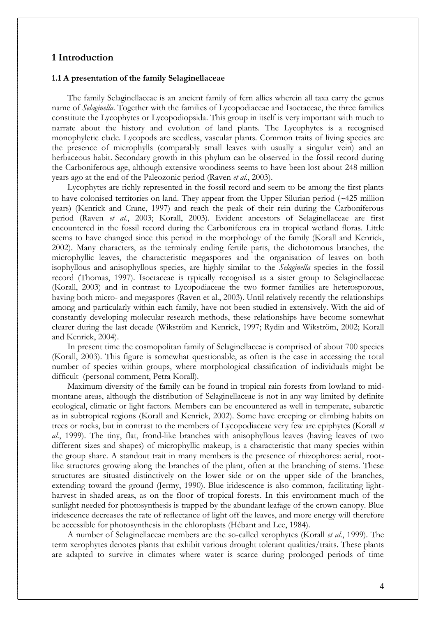## **1 Introduction**

## **1.1 A presentation of the family Selaginellaceae**

 The family Selaginellaceae is an ancient family of fern allies wherein all taxa carry the genus name of *Selaginella*. Together with the families of Lycopodiaceae and Isoetaceae, the three families constitute the Lycophytes or Lycopodiopsida. This group in itself is very important with much to narrate about the history and evolution of land plants. The Lycophytes is a recognised monophyletic clade. Lycopods are seedless, vascular plants. Common traits of living species are the presence of microphylls (comparably small leaves with usually a singular vein) and an herbaceous habit. Secondary growth in this phylum can be observed in the fossil record during the Carboniferous age, although extensive woodiness seems to have been lost about 248 million years ago at the end of the Paleozonic period (Raven *et al*., 2003).

 Lycophytes are richly represented in the fossil record and seem to be among the first plants to have colonised territories on land. They appear from the Upper Silurian period (~425 million years) (Kenrick and Crane, 1997) and reach the peak of their rein during the Carboniferous period (Raven *et al.*, 2003; Korall, 2003). Evident ancestors of Selaginellaceae are first encountered in the fossil record during the Carboniferous era in tropical wetland floras. Little seems to have changed since this period in the morphology of the family (Korall and Kenrick, 2002). Many characters, as the terminaly ending fertile parts, the dichotomous branches, the microphyllic leaves, the characteristic megaspores and the organisation of leaves on both isophyllous and anisophyllous species, are highly similar to the *Selaginella* species in the fossil record (Thomas, 1997). Isoetaceae is typically recognised as a sister group to Selaginellaceae (Korall, 2003) and in contrast to Lycopodiaceae the two former families are heterosporous, having both micro- and megaspores (Raven et al., 2003). Until relatively recently the relationships among and particularly within each family, have not been studied in extensively. With the aid of constantly developing molecular research methods, these relationships have become somewhat clearer during the last decade (Wikström and Kenrick, 1997; Rydin and Wikström, 2002; Korall and Kenrick, 2004).

 In present time the cosmopolitan family of Selaginellaceae is comprised of about 700 species (Korall, 2003). This figure is somewhat questionable, as often is the case in accessing the total number of species within groups, where morphological classification of individuals might be difficult (personal comment, Petra Korall).

 Maximum diversity of the family can be found in tropical rain forests from lowland to midmontane areas, although the distribution of Selaginellaceae is not in any way limited by definite ecological, climatic or light factors. Members can be encountered as well in temperate, subarctic as in subtropical regions (Korall and Kenrick, 2002). Some have creeping or climbing habits on trees or rocks, but in contrast to the members of Lycopodiaceae very few are epiphytes (Korall *et al.*, 1999). The tiny, flat, frond-like branches with anisophyllous leaves (having leaves of two different sizes and shapes) of microphyllic makeup, is a characteristic that many species within the group share. A standout trait in many members is the presence of rhizophores: aerial, rootlike structures growing along the branches of the plant, often at the branching of stems. These structures are situated distinctively on the lower side or on the upper side of the branches, extending toward the ground (Jermy, 1990). Blue iridescence is also common, facilitating lightharvest in shaded areas, as on the floor of tropical forests. In this environment much of the sunlight needed for photosynthesis is trapped by the abundant leafage of the crown canopy. Blue iridescence decreases the rate of reflectance of light off the leaves, and more energy will therefore be accessible for photosynthesis in the chloroplasts (Hébant and Lee, 1984).

 A number of Selaginellaceae members are the so-called xerophytes (Korall *et al.*, 1999). The term xerophytes denotes plants that exhibit various drought tolerant qualities/traits. These plants are adapted to survive in climates where water is scarce during prolonged periods of time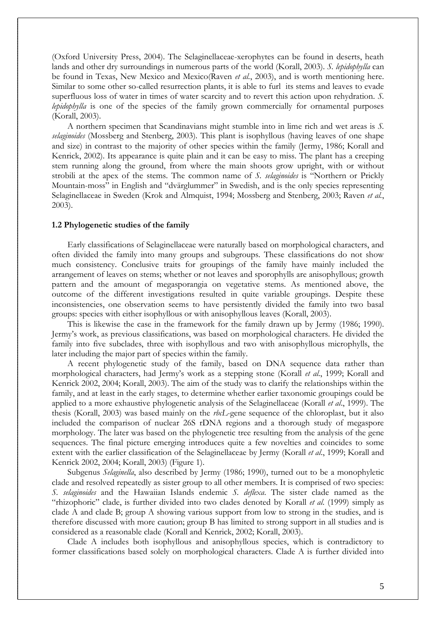(Oxford University Press, 2004). The Selaginellaceae-xerophytes can be found in deserts, heath lands and other dry surroundings in numerous parts of the world (Korall, 2003). *S. lepidophylla* can be found in Texas, New Mexico and Mexico(Raven *et al.*, 2003), and is worth mentioning here. Similar to some other so-called resurrection plants, it is able to furl its stems and leaves to evade superfluous loss of water in times of water scarcity and to revert this action upon rehydration. *S. lepidophylla* is one of the species of the family grown commercially for ornamental purposes (Korall, 2003).

 A northern specimen that Scandinavians might stumble into in lime rich and wet areas is *S. selaginoides* (Mossberg and Stenberg, 2003)*.* This plant is isophyllous (having leaves of one shape and size) in contrast to the majority of other species within the family (Jermy, 1986; Korall and Kenrick, 2002). Its appearance is quite plain and it can be easy to miss. The plant has a creeping stem running along the ground, from where the main shoots grow upright, with or without strobili at the apex of the stems. The common name of *S. selaginoides* is "Northern or Prickly Mountain-moss" in English and "dvärglummer" in Swedish, and is the only species representing Selaginellaceae in Sweden (Krok and Almquist, 1994; Mossberg and Stenberg, 2003; Raven *et al.*, 2003).

## **1.2 Phylogenetic studies of the family**

 Early classifications of Selaginellaceae were naturally based on morphological characters, and often divided the family into many groups and subgroups. These classifications do not show much consistency. Conclusive traits for groupings of the family have mainly included the arrangement of leaves on stems; whether or not leaves and sporophylls are anisophyllous; growth pattern and the amount of megasporangia on vegetative stems. As mentioned above, the outcome of the different investigations resulted in quite variable groupings. Despite these inconsistencies, one observation seems to have persistently divided the family into two basal groups: species with either isophyllous or with anisophyllous leaves (Korall, 2003).

 This is likewise the case in the framework for the family drawn up by Jermy (1986; 1990). Jermy's work, as previous classifications, was based on morphological characters. He divided the family into five subclades, three with isophyllous and two with anisophyllous microphylls, the later including the major part of species within the family.

 A recent phylogenetic study of the family, based on DNA sequence data rather than morphological characters, had Jermy's work as a stepping stone (Korall *et al*., 1999; Korall and Kenrick 2002, 2004; Korall, 2003). The aim of the study was to clarify the relationships within the family, and at least in the early stages, to determine whether earlier taxonomic groupings could be applied to a more exhaustive phylogenetic analysis of the Selaginellaceae (Korall *et al*., 1999). The thesis (Korall, 2003) was based mainly on the *rbcL*-gene sequence of the chloroplast, but it also included the comparison of nuclear 26S rDNA regions and a thorough study of megaspore morphology. The later was based on the phylogenetic tree resulting from the analysis of the gene sequences. The final picture emerging introduces quite a few novelties and coincides to some extent with the earlier classification of the Selaginellaceae by Jermy (Korall *et al*., 1999; Korall and Kenrick 2002, 2004; Korall, 2003) (Figure 1).

 Subgenus *Selaginella*, also described by Jermy (1986; 1990), turned out to be a monophyletic clade and resolved repeatedly as sister group to all other members. It is comprised of two species: *S. selaginoides* and the Hawaiian Islands endemic *S. deflexa*. The sister clade named as the "rhizophoric" clade, is further divided into two clades denoted by Korall *et al*. (1999) simply as clade A and clade B; group A showing various support from low to strong in the studies, and is therefore discussed with more caution; group B has limited to strong support in all studies and is considered as a reasonable clade (Korall and Kenrick, 2002; Korall, 2003).

 Clade A includes both isophyllous and anisophyllous species, which is contradictory to former classifications based solely on morphological characters. Clade A is further divided into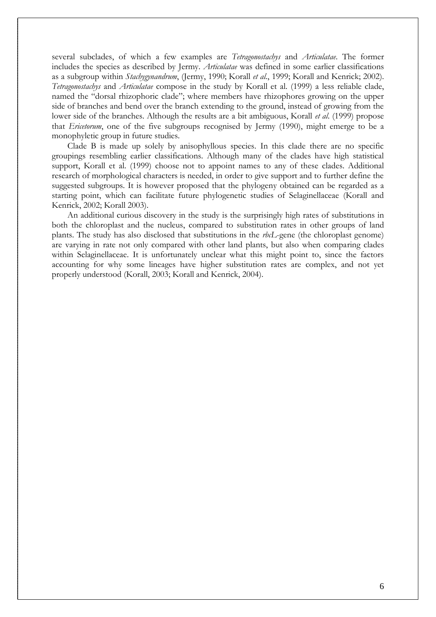several subclades, of which a few examples are *Tetragonostachys* and *Articulatae*. The former includes the species as described by Jermy. *Articulatae* was defined in some earlier classifications as a subgroup within *Stachygynandrum*, (Jermy, 1990; Korall *et al*., 1999; Korall and Kenrick; 2002). *Tetragonostachys* and *Articulatae* compose in the study by Korall et al. (1999) a less reliable clade, named the "dorsal rhizophoric clade"; where members have rhizophores growing on the upper side of branches and bend over the branch extending to the ground, instead of growing from the lower side of the branches. Although the results are a bit ambiguous, Korall *et al*. (1999) propose that *Ericetorum*, one of the five subgroups recognised by Jermy (1990), might emerge to be a monophyletic group in future studies.

 Clade B is made up solely by anisophyllous species. In this clade there are no specific groupings resembling earlier classifications. Although many of the clades have high statistical support, Korall et al. (1999) choose not to appoint names to any of these clades. Additional research of morphological characters is needed, in order to give support and to further define the suggested subgroups. It is however proposed that the phylogeny obtained can be regarded as a starting point, which can facilitate future phylogenetic studies of Selaginellaceae (Korall and Kenrick, 2002; Korall 2003).

 An additional curious discovery in the study is the surprisingly high rates of substitutions in both the chloroplast and the nucleus, compared to substitution rates in other groups of land plants. The study has also disclosed that substitutions in the *rbcL*-gene (the chloroplast genome) are varying in rate not only compared with other land plants, but also when comparing clades within Selaginellaceae. It is unfortunately unclear what this might point to, since the factors accounting for why some lineages have higher substitution rates are complex, and not yet properly understood (Korall, 2003; Korall and Kenrick, 2004).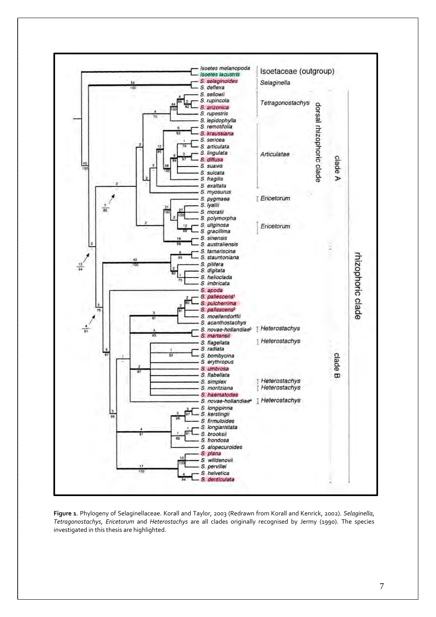

**Figure 1**. Phylogeny of Selaginellaceae. Korall and Taylor, 2003 (Redrawn from Korall and Kenrick, 2002). *Selaginella*, *Tetragonostachys*, *Ericetorum* and *Heterostachys* are all clades originally recognised by Jermy (1990). The species investigated in this thesis are highlighted.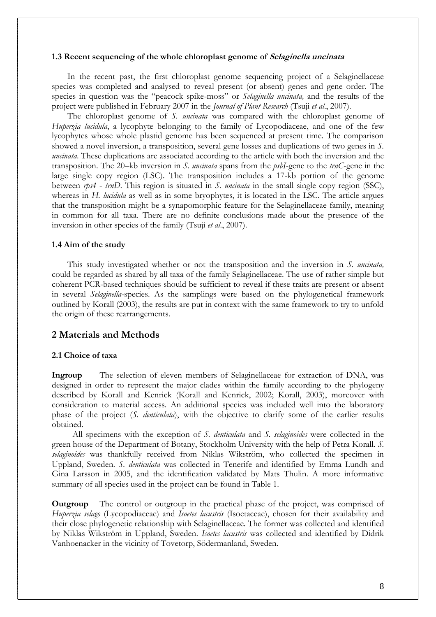## **1.3 Recent sequencing of the whole chloroplast genome of Selaginella uncinata**

 In the recent past, the first chloroplast genome sequencing project of a Selaginellaceae species was completed and analysed to reveal present (or absent) genes and gene order. The species in question was the "peacock spike-moss" or *Selaginella uncinata,* and the results of the project were published in February 2007 in the *Journal of Plant Research* (Tsuji *et al*., 2007).

 The chloroplast genome of *S. uncinata* was compared with the chloroplast genome of *Huperzia lucidula*, a lycophyte belonging to the family of Lycopodiaceae, and one of the few lycophytes whose whole plastid genome has been sequenced at present time. The comparison showed a novel inversion, a transposition, several gene losses and duplications of two genes in *S. uncinata*. These duplications are associated according to the article with both the inversion and the transposition. The 20–kb inversion in *S. uncinata* spans from the *psbI*-gene to the *trnC*-gene in the large single copy region (LSC). The transposition includes a 17-kb portion of the genome between *rps4* - *trnD*. This region is situated in *S. uncinata* in the small single copy region (SSC), whereas in *H. lucidula* as well as in some bryophytes, it is located in the LSC. The article argues that the transposition might be a synapomorphic feature for the Selaginellaceae family, meaning in common for all taxa. There are no definite conclusions made about the presence of the inversion in other species of the family (Tsuji *et al*., 2007).

## **1.4 Aim of the study**

 This study investigated whether or not the transposition and the inversion in *S. uncinata,* could be regarded as shared by all taxa of the family Selaginellaceae. The use of rather simple but coherent PCR-based techniques should be sufficient to reveal if these traits are present or absent in several *Selaginella*-species. As the samplings were based on the phylogenetical framework outlined by Korall (2003), the results are put in context with the same framework to try to unfold the origin of these rearrangements.

# **2 Materials and Methods**

## **2.1 Choice of taxa**

**Ingroup** The selection of eleven members of Selaginellaceae for extraction of DNA, was designed in order to represent the major clades within the family according to the phylogeny described by Korall and Kenrick (Korall and Kenrick, 2002; Korall, 2003), moreover with consideration to material access. An additional species was included well into the laboratory phase of the project (*S. denticulata*), with the objective to clarify some of the earlier results obtained.

 All specimens with the exception of *S. denticulata* and *S. selaginoides* were collected in the green house of the Department of Botany, Stockholm University with the help of Petra Korall. *S. selaginoides* was thankfully received from Niklas Wikström, who collected the specimen in Uppland, Sweden. *S. denticulata* was collected in Tenerife and identified by Emma Lundh and Gina Larsson in 2005, and the identification validated by Mats Thulin. A more informative summary of all species used in the project can be found in Table 1.

**Outgroup** The control or outgroup in the practical phase of the project, was comprised of *Huperzia selago* (Lycopodiaceae) and *Isoetes lacustris* (Isoetaceae), chosen for their availability and their close phylogenetic relationship with Selaginellaceae. The former was collected and identified by Niklas Wikström in Uppland, Sweden. *Isoetes lacustris* was collected and identified by Didrik Vanhoenacker in the vicinity of Tovetorp, Södermanland, Sweden.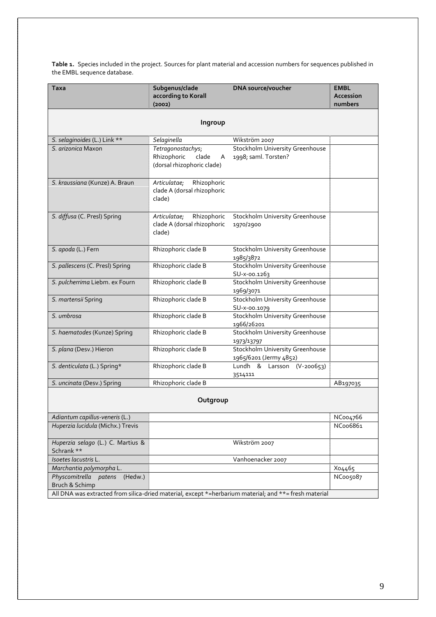**Table 1.** Species included in the project. Sources for plant material and accession numbers for sequences published in the EMBL sequence database.

| <b>Taxa</b>                                                                                           | Subgenus/clade<br>according to Korall                                        | <b>DNA</b> source/voucher                                        | <b>EMBL</b><br>Accession<br>numbers |  |  |  |  |  |  |  |
|-------------------------------------------------------------------------------------------------------|------------------------------------------------------------------------------|------------------------------------------------------------------|-------------------------------------|--|--|--|--|--|--|--|
|                                                                                                       | (2002)                                                                       |                                                                  |                                     |  |  |  |  |  |  |  |
| Ingroup                                                                                               |                                                                              |                                                                  |                                     |  |  |  |  |  |  |  |
| S. selaginoides (L.) Link **                                                                          | Selaginella                                                                  | Wikström 2007                                                    |                                     |  |  |  |  |  |  |  |
| S. arizonica Maxon                                                                                    | Tetragonostachys;<br>Rhizophoric<br>clade<br>A<br>(dorsal rhizophoric clade) | Stockholm University Greenhouse<br>1998; saml. Torsten?          |                                     |  |  |  |  |  |  |  |
| S. kraussiana (Kunze) A. Braun                                                                        | Rhizophoric<br>Articulatae;<br>clade A (dorsal rhizophoric<br>clade)         |                                                                  |                                     |  |  |  |  |  |  |  |
| S. diffusa (C. Presl) Spring                                                                          | Rhizophoric<br>Articulatae;<br>clade A (dorsal rhizophoric<br>clade)         | Stockholm University Greenhouse<br>1970/2900                     |                                     |  |  |  |  |  |  |  |
| S. apoda (L.) Fern                                                                                    | Rhizophoric clade B                                                          | Stockholm University Greenhouse<br>1985/3872                     |                                     |  |  |  |  |  |  |  |
| S. pallescens (C. Presl) Spring                                                                       | Rhizophoric clade B                                                          | <b>Stockholm University Greenhouse</b><br>SU-x-00.1263           |                                     |  |  |  |  |  |  |  |
| S. pulcherrima Liebm. ex Fourn                                                                        | Rhizophoric clade B                                                          | <b>Stockholm University Greenhouse</b><br>1969/3071              |                                     |  |  |  |  |  |  |  |
| S. martensii Spring                                                                                   | Rhizophoric clade B                                                          | <b>Stockholm University Greenhouse</b><br>SU-x-00.1079           |                                     |  |  |  |  |  |  |  |
| S. umbrosa                                                                                            | Rhizophoric clade B                                                          | Stockholm University Greenhouse<br>1966/26201                    |                                     |  |  |  |  |  |  |  |
| S. haematodes (Kunze) Spring                                                                          | Rhizophoric clade B                                                          | <b>Stockholm University Greenhouse</b><br>1973/13797             |                                     |  |  |  |  |  |  |  |
| S. plana (Desv.) Hieron                                                                               | Rhizophoric clade B                                                          | <b>Stockholm University Greenhouse</b><br>1965/6201 (Jermy 4852) |                                     |  |  |  |  |  |  |  |
| S. denticulata (L.) Spring*                                                                           | Rhizophoric clade B                                                          | Lundh & Larsson (V-200653)<br>3514111                            |                                     |  |  |  |  |  |  |  |
| S. uncinata (Desv.) Spring                                                                            | Rhizophoric clade B                                                          |                                                                  | AB197035                            |  |  |  |  |  |  |  |
|                                                                                                       | Outgroup                                                                     |                                                                  |                                     |  |  |  |  |  |  |  |
| Adiantum capillus-veneris (L.)                                                                        |                                                                              |                                                                  | NCoo4766                            |  |  |  |  |  |  |  |
| Huperzia lucidula (Michx.) Trevis                                                                     |                                                                              |                                                                  | NC006861                            |  |  |  |  |  |  |  |
| Huperzia selago (L.) C. Martius &<br>Schrank **                                                       |                                                                              | Wikström 2007                                                    |                                     |  |  |  |  |  |  |  |
| Isoetes lacustris L.                                                                                  |                                                                              | Vanhoenacker 2007                                                |                                     |  |  |  |  |  |  |  |
| Marchantia polymorpha L.                                                                              |                                                                              |                                                                  | Xo4465                              |  |  |  |  |  |  |  |
| Physcomitrella patens<br>(Hedw.)<br>Bruch & Schimp                                                    |                                                                              |                                                                  | NC005087                            |  |  |  |  |  |  |  |
| All DNA was extracted from silica-dried material, except *=herbarium material; and **= fresh material |                                                                              |                                                                  |                                     |  |  |  |  |  |  |  |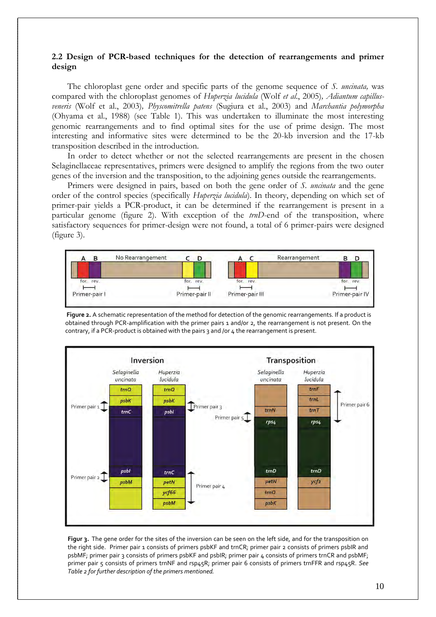## **2.2 Design of PCR-based techniques for the detection of rearrangements and primer design**

 The chloroplast gene order and specific parts of the genome sequence of *S. uncinata,* was compared with the chloroplast genomes of *Huperzia lucidula* (Wolf *et al*., 2005)*, Adiantum capillusveneris* (Wolf et al., 2003)*, Physcomitrella patens* (Sugiura et al., 2003) and *Marchantia polymorpha*  (Ohyama et al., 1988) (see Table 1). This was undertaken to illuminate the most interesting genomic rearrangements and to find optimal sites for the use of prime design. The most interesting and informative sites were determined to be the 20-kb inversion and the 17-kb transposition described in the introduction.

 In order to detect whether or not the selected rearrangements are present in the chosen Selaginellaceae representatives, primers were designed to amplify the regions from the two outer genes of the inversion and the transposition, to the adjoining genes outside the rearrangements.

Primers were designed in pairs, based on both the gene order of *S. uncinata* and the gene order of the control species (specifically *Huperzia lucidula*). In theory, depending on which set of primer-pair yields a PCR-product, it can be determined if the rearrangement is present in a particular genome (figure 2). With exception of the *trnD*-end of the transposition, where satisfactory sequences for primer-design were not found, a total of 6 primer-pairs were designed (figure 3).



**Figure 2.** A schematic representation of the method for detection of the genomic rearrangements. If a product is obtained through PCR-amplification with the primer pairs 1 and/or 2, the rearrangement is not present. On the contrary, if a PCR-product is obtained with the pairs 3 and /or 4 the rearrangement is present.



**Figur 3.** The gene order for the sites of the inversion can be seen on the left side, and for the transposition on the right side. Primer pair 1 consists of primers psbKF and trnCR; primer pair 2 consists of primers psbIR and psbMF; primer pair 3 consists of primers psbKF and psbIR; primer pair 4 consists of primers trnCR and psbMF; primer pair 5 consists of primers trnNF and rsp45R; primer pair 6 consists of primers trnFFR and rsp45R. *See Table 2 for further description of the primers mentioned.*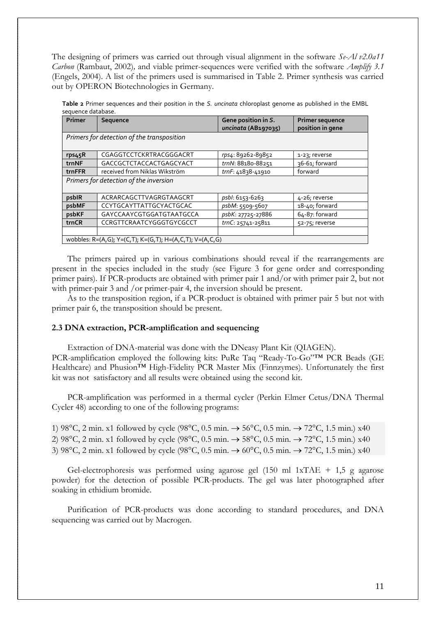The designing of primers was carried out through visual alignment in the software *Se-Al v2.0a11 Carbon* (Rambaut, 2002)*,* and viable primer-sequences were verified with the software *Amplify 3.1* (Engels, 2004). A list of the primers used is summarised in Table 2. Primer synthesis was carried out by OPERON Biotechnologies in Germany.

|                    |  |  |  | Table 2 Primer sequences and their position in the S. uncinata chloroplast genome as published in the EMBL |  |  |  |
|--------------------|--|--|--|------------------------------------------------------------------------------------------------------------|--|--|--|
| seguence database. |  |  |  |                                                                                                            |  |  |  |

| Primer                                     | Sequence                                                 | Gene position in S. | <b>Primer sequence</b> |  |  |  |  |  |
|--------------------------------------------|----------------------------------------------------------|---------------------|------------------------|--|--|--|--|--|
|                                            |                                                          | uncinata (AB197035) | position in gene       |  |  |  |  |  |
| Primers for detection of the transposition |                                                          |                     |                        |  |  |  |  |  |
|                                            |                                                          |                     |                        |  |  |  |  |  |
| rps45R                                     | CGAGGTCCTCKRTRACGGGACRT                                  | rps4: 89262-89852   | 1-23; reverse          |  |  |  |  |  |
| trnNF                                      | GACCGCTCTACCACTGAGCYACT                                  | trnN: 88180-88251   | 36-61; forward         |  |  |  |  |  |
| trnFFR                                     | received from Niklas Wikström                            | trnF: 41838-41910   | forward                |  |  |  |  |  |
| Primers for detection of the inversion     |                                                          |                     |                        |  |  |  |  |  |
|                                            |                                                          |                     |                        |  |  |  |  |  |
| psbIR                                      | ACRARCAGCTTVAGRGTAAGCRT                                  | psbl: 6153-6263     | 4-26; reverse          |  |  |  |  |  |
| psbMF                                      | CCYTGCAYTTATTGCYACTGCAC                                  | psbM: 5509-5607     | 18-40; forward         |  |  |  |  |  |
| psbKF                                      | GAYCCAAYCGTGGATGTAATGCCA                                 | psbK: 27725-27886   | $64-87:$ forward       |  |  |  |  |  |
| trnCR                                      | CCRGTTCRAATCYGGGTGYCGCCT                                 | trnC: 25741-25811   | 52-75; reverse         |  |  |  |  |  |
|                                            |                                                          |                     |                        |  |  |  |  |  |
|                                            | wobbles: R=(A,G); Y=(C,T); K=(G,T); H=(A,C,T); V=(A,C,G) |                     |                        |  |  |  |  |  |

The primers paired up in various combinations should reveal if the rearrangements are present in the species included in the study (see Figure 3 for gene order and corresponding primer pairs). If PCR-products are obtained with primer pair 1 and/or with primer pair 2, but not with primer-pair 3 and /or primer-pair 4, the inversion should be present.

 As to the transposition region, if a PCR-product is obtained with primer pair 5 but not with primer pair 6, the transposition should be present.

## **2.3 DNA extraction, PCR-amplification and sequencing**

Extraction of DNA-material was done with the DNeasy Plant Kit (QIAGEN). PCR-amplification employed the following kits: PuRe Taq "Ready-To-Go"™ PCR Beads (GE Healthcare) and Phusion™ High-Fidelity PCR Master Mix (Finnzymes). Unfortunately the first kit was not satisfactory and all results were obtained using the second kit.

PCR-amplification was performed in a thermal cycler (Perkin Elmer Cetus/DNA Thermal Cycler 48) according to one of the following programs:

1) 98°C, 2 min. x1 followed by cycle (98°C, 0.5 min.  $\rightarrow$  56°C, 0.5 min.  $\rightarrow$  72°C, 1.5 min.) x40 2) 98°C, 2 min. x1 followed by cycle (98°C, 0.5 min.  $\rightarrow$  58°C, 0.5 min.  $\rightarrow$  72°C, 1.5 min.) x40 3) 98°C, 2 min. x1 followed by cycle (98°C, 0.5 min.  $\rightarrow$  60°C, 0.5 min.  $\rightarrow$  72°C, 1.5 min.) x40

Gel-electrophoresis was performed using agarose gel  $(150 \text{ ml} 1xTAE + 1,5 \text{ g})$  agarose powder) for the detection of possible PCR-products. The gel was later photographed after soaking in ethidium bromide.

 Purification of PCR-products was done according to standard procedures, and DNA sequencing was carried out by Macrogen.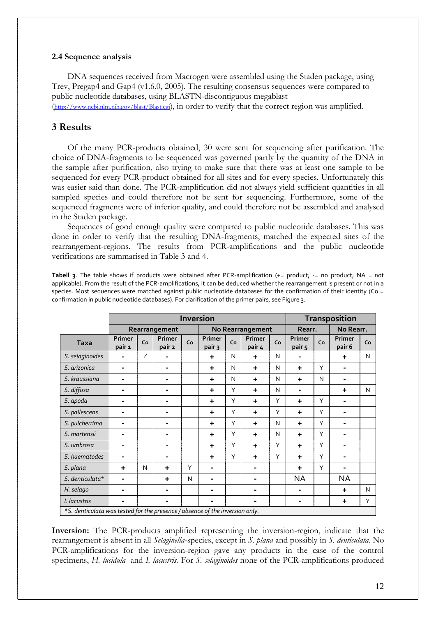## **2.4 Sequence analysis**

 DNA sequences received from Macrogen were assembled using the Staden package, using Trev, Pregap4 and Gap4 (v1.6.0, 2005). The resulting consensus sequences were compared to public nucleotide databases, using BLASTN-discontiguous megablast

(<http://www.ncbi.nlm.nih.gov/blast/Blast.cgi>), in order to verify that the correct region was amplified.

# **3 Results**

 Of the many PCR-products obtained, 30 were sent for sequencing after purification. The choice of DNA-fragments to be sequenced was governed partly by the quantity of the DNA in the sample after purification, also trying to make sure that there was at least one sample to be sequenced for every PCR-product obtained for all sites and for every species. Unfortunately this was easier said than done. The PCR-amplification did not always yield sufficient quantities in all sampled species and could therefore not be sent for sequencing. Furthermore, some of the sequenced fragments were of inferior quality, and could therefore not be assembled and analysed in the Staden package.

 Sequences of good enough quality were compared to public nucleotide databases. This was done in order to verify that the resulting DNA-fragments, matched the expected sites of the rearrangement-regions. The results from PCR-amplifications and the public nucleotide verifications are summarised in Table 3 and 4.

**Tabell 3**. The table shows if products were obtained after PCR-amplification (+= product; -= no product; NA = not applicable). From the result of the PCR-amplifications, it can be deduced whether the rearrangement is present or not in a species. Most sequences were matched against public nucleotide databases for the confirmation of their identity (Co = confirmation in public nucleotide databases). For clarification of the primer pairs, see Figure 3.

|                                                                              |                  |    | <b>Inversion</b> | <b>Transposition</b> |                  |                  |                  |    |                          |        |           |              |
|------------------------------------------------------------------------------|------------------|----|------------------|----------------------|------------------|------------------|------------------|----|--------------------------|--------|-----------|--------------|
|                                                                              |                  |    | Rearrangement    |                      |                  | No Rearrangement |                  |    |                          | Rearr. | No Rearr. |              |
| <b>Taxa</b>                                                                  | Primer<br>pair 1 | Co | Primer<br>pair 2 | Co                   | Primer<br>pair 3 | Co               | Primer<br>pair 4 | Co | Primer<br>pair 5         | Co     |           | Co           |
| S. selaginoides                                                              |                  | ∕  |                  |                      | ٠                | N                | ÷                | N  |                          |        | ٠         | N            |
| S. arizonica                                                                 |                  |    |                  |                      | ٠                | N                | ÷                | N  | $\ddot{}$                | Υ      |           |              |
| S. kraussiana                                                                | ۰.               |    | $\blacksquare$   |                      | ٠                | N                | ÷                | N  | $\ddot{}$                | N      |           |              |
| S. diffusa                                                                   | ۰.               |    | ۰                |                      | ٠                | Υ                | ÷                | N  | $\overline{\phantom{0}}$ |        | ÷         | $\mathsf{N}$ |
| S. apoda                                                                     | ۰.               |    | ۰                |                      | ٠                | Υ                | ÷                | Y  | $\ddot{}$                | Y      | ۰         |              |
| S. pallescens                                                                | $\blacksquare$   |    |                  |                      | ٠                | Υ                | ÷                | Y  | $\ddot{}$                | Υ      | ۰         |              |
| S. pulcherrima                                                               |                  |    |                  |                      | ٠                | Υ                | ÷                | N  | $\ddot{}$                | Υ      |           |              |
| S. martensii                                                                 |                  |    |                  |                      | +                | Υ                | ÷                | N  | $\ddot{}$                | Υ      |           |              |
| S. umbrosa                                                                   |                  |    |                  |                      | ٠                | Υ                | ÷                | Y  | $\ddot{}$                | Υ      |           |              |
| S. haematodes                                                                |                  |    |                  |                      | ٠                | Υ                | ÷                | Y  | $\ddot{}$                | Υ      |           |              |
| S. plana                                                                     | ÷                | N  | $\ddot{}$        | Y                    | -                |                  |                  |    | $\ddot{}$                | Υ      |           |              |
| S. denticulata*                                                              |                  |    | ٠                | N                    |                  |                  |                  |    | <b>NA</b>                |        | <b>NA</b> |              |
| H. selago                                                                    |                  |    |                  |                      |                  |                  |                  |    |                          |        | ٠         | N            |
| I. lacustris                                                                 |                  |    |                  |                      |                  |                  |                  |    |                          |        | ٠.        | Υ            |
| *S. denticulata was tested for the presence / absence of the inversion only. |                  |    |                  |                      |                  |                  |                  |    |                          |        |           |              |

**Inversion:** The PCR-products amplified representing the inversion-region, indicate that the rearrangement is absent in all *Selaginella*-species, except in *S. plana* and possibly in *S. denticulata*. No PCR-amplifications for the inversion-region gave any products in the case of the control specimens, *H. lucidula* and *I. lacustris.* For *S. selaginoides* none of the PCR-amplifications produced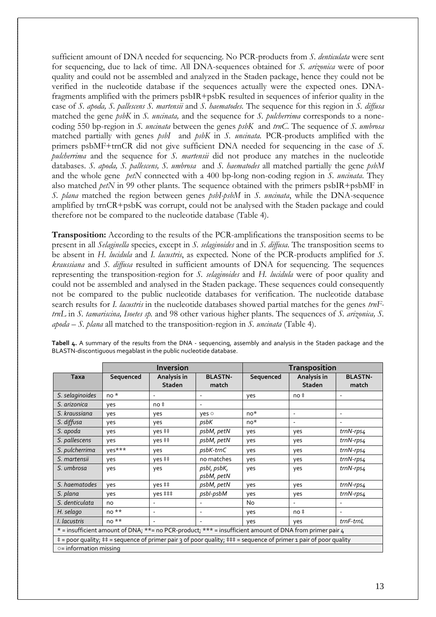sufficient amount of DNA needed for sequencing. No PCR-products from *S. denticulata* were sent for sequencing, due to lack of time. All DNA-sequences obtained for *S. arizonica* were of poor quality and could not be assembled and analyzed in the Staden package, hence they could not be verified in the nucleotide database if the sequences actually were the expected ones. DNAfragments amplified with the primers psbIR+psbK resulted in sequences of inferior quality in the case of *S. apoda, S. pallescens S. martensii* and *S. haematodes.* The sequence for this region in *S. diffusa*  matched the gene *psbK* in *S. uncinata,* and the sequence for *S. pulcherrima* corresponds to a nonecoding 550 bp-region in *S. uncinata* between the genes *psbK* and *trnC*. The sequence of *S. umbrosa* matched partially with genes *psbI* and *psbK* in *S. uncinata.* PCR-products amplified with the primers psbMF+trnCR did not give sufficient DNA needed for sequencing in the case of *S. pulcherrima* and the sequence for *S. martensii* did not produce any matches in the nucleotide databases. *S. apoda, S. pallescens, S. umbrosa* and *S. haematodes* all matched partially the gene *psbM* and the whole gene *petN* connected with a 400 bp-long non-coding region in *S. uncinata*. They also matched *petN* in 99 other plants. The sequence obtained with the primers psbIR+psbMF in *S. plana* matched the region between genes *psbI-psbM* in *S. uncinata*, while the DNA-sequence amplified by trnCR+psbK was corrupt, could not be analysed with the Staden package and could therefore not be compared to the nucleotide database (Table 4).

**Transposition:** According to the results of the PCR-amplifications the transposition seems to be present in all *Selaginella* species, except in *S. selaginoides* and in *S. diffusa*. The transposition seems to be absent in *H. lucidula* and *I. lacustris*, as expected. None of the PCR-products amplified for *S. kraussiana* and *S. diffusa* resulted in sufficient amounts of DNA for sequencing. The sequences representing the transposition-region for *S. selaginoides* and *H. lucidula* were of poor quality and could not be assembled and analysed in the Staden package. These sequences could consequently not be compared to the public nucleotide databases for verification. The nucleotide database search results for *I. lacustris* in the nucleotide databases showed partial matches for the genes *trnFtrnL* in *S. tamariscina, Isoetes sp.* and 98 other various higher plants. The sequences of *S. arizonica, S. apoda – S. plana* all matched to the transposition-region in *S. uncinata* (Table 4).

|                                                                                                                  |           | <b>Inversion</b>             |                           | <b>Transposition</b> |                              |                          |  |  |
|------------------------------------------------------------------------------------------------------------------|-----------|------------------------------|---------------------------|----------------------|------------------------------|--------------------------|--|--|
| <b>Taxa</b>                                                                                                      | Sequenced | Analysis in<br><b>Staden</b> | <b>BLASTN-</b><br>match   | Sequenced            | Analysis in<br><b>Staden</b> | <b>BLASTN-</b><br>match  |  |  |
| S. selaginoides                                                                                                  | $no*$     | $\overline{\phantom{a}}$     |                           | yes                  | $no*$                        | $\overline{a}$           |  |  |
| S. arizonica                                                                                                     | yes       | $no*$                        |                           |                      |                              |                          |  |  |
| S. kraussiana                                                                                                    | yes       | yes                          | yes o                     | $no*$                | $\overline{\phantom{a}}$     | $\overline{\phantom{a}}$ |  |  |
| S. diffusa                                                                                                       | yes       | yes                          | psbK                      | $no*$                | $\overline{\phantom{a}}$     |                          |  |  |
| S. apoda                                                                                                         | yes       | yes ‡‡                       | psbM, petN                | yes                  | yes                          | $trnN-rps4$              |  |  |
| S. pallescens                                                                                                    | yes       | yes ‡‡                       | psbM, petN                | yes                  | yes                          | $trnN-rps4$              |  |  |
| S. pulcherrima                                                                                                   | yes***    | yes                          | psbK-trnC                 | yes                  | yes                          | $trnN-rps4$              |  |  |
| S. martensii                                                                                                     | yes       | yes ##                       | no matches                | yes                  | yes                          | $trnN-rps4$              |  |  |
| S. umbrosa                                                                                                       | yes       | yes                          | psbl, psbK,<br>psbM, petN | yes                  | yes                          | $trnN-rps4$              |  |  |
| S. haematodes                                                                                                    | yes       | yes ##                       | psbM, petN                | yes                  | yes                          | $trnN-rps4$              |  |  |
| S. plana                                                                                                         | yes       | $yes ++$                     | psbI-psbM                 | yes                  | yes                          | $trnN-rps4$              |  |  |
| S. denticulata                                                                                                   | no        |                              |                           | No                   |                              |                          |  |  |
| H. selago                                                                                                        | $no**$    | $\overline{\phantom{a}}$     |                           | yes                  | $no*$                        | $\overline{\phantom{a}}$ |  |  |
| I. lacustris                                                                                                     | $no**$    | $\overline{\phantom{a}}$     | $\overline{\phantom{a}}$  | yes                  | yes                          | trnF-trnL                |  |  |
| * = insufficient amount of DNA; **= no PCR-product; *** = insufficient amount of DNA from primer pair 4          |           |                              |                           |                      |                              |                          |  |  |
| # = poor quality; # = sequence of primer pair 3 of poor quality; # # = sequence of primer 1 pair of poor quality |           |                              |                           |                      |                              |                          |  |  |
| o= information missing                                                                                           |           |                              |                           |                      |                              |                          |  |  |

**Tabell 4.** A summary of the results from the DNA - sequencing, assembly and analysis in the Staden package and the BLASTN-discontiguous megablast in the public nucleotide database.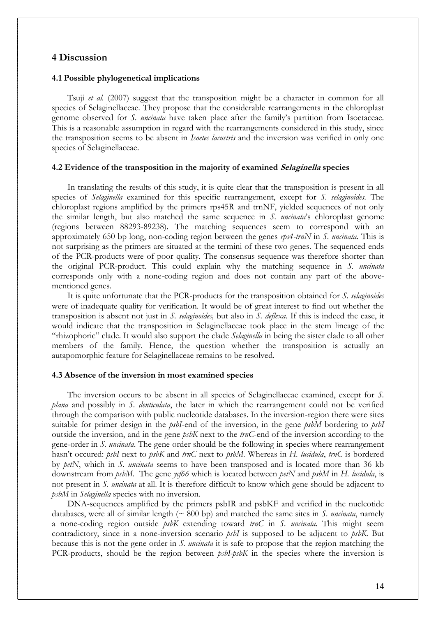# **4 Discussion**

## **4.1 Possible phylogenetical implications**

 Tsuji *et al.* (2007) suggest that the transposition might be a character in common for all species of Selaginellaceae. They propose that the considerable rearrangements in the chloroplast genome observed for *S. uncinata* have taken place after the family's partition from Isoetaceae. This is a reasonable assumption in regard with the rearrangements considered in this study, since the transposition seems to be absent in *Isoetes lacustris* and the inversion was verified in only one species of Selaginellaceae.

## **4.2 Evidence of the transposition in the majority of examined Selaginella species**

 In translating the results of this study, it is quite clear that the transposition is present in all species of *Selaginella* examined for this specific rearrangement, except for *S. selaginoides*. The chloroplast regions amplified by the primers rps45R and trnNF, yielded sequences of not only the similar length, but also matched the same sequence in *S. uncinata*'s chloroplast genome (regions between 88293-89238). The matching sequences seem to correspond with an approximately 650 bp long, non-coding region between the genes *rps4-trnN* in *S. uncinata*. This is not surprising as the primers are situated at the termini of these two genes. The sequenced ends of the PCR-products were of poor quality. The consensus sequence was therefore shorter than the original PCR-product. This could explain why the matching sequence in *S. uncinata* corresponds only with a none-coding region and does not contain any part of the abovementioned genes.

 It is quite unfortunate that the PCR-products for the transposition obtained for *S. selaginoides* were of inadequate quality for verification. It would be of great interest to find out whether the transposition is absent not just in *S. selaginoides,* but also in *S. deflexa.* If this is indeed the case, it would indicate that the transposition in Selaginellaceae took place in the stem lineage of the "rhizophoric" clade. It would also support the clade *Selaginella* in being the sister clade to all other members of the family. Hence, the question whether the transposition is actually an autapomorphic feature for Selaginellaceae remains to be resolved.

## **4.3 Absence of the inversion in most examined species**

 The inversion occurs to be absent in all species of Selaginellaceae examined, except for *S. plana* and possibly in *S. denticulata*, the later in which the rearrangement could not be verified through the comparison with public nucleotide databases. In the inversion-region there were sites suitable for primer design in the *psbI*-end of the inversion, in the gene *psbM* bordering to *psbI* outside the inversion, and in the gene *psbK* next to the *trnC*-end of the inversion according to the gene-order in *S. uncinata*. The gene order should be the following in species where rearrangement hasn't occured: *psbI* next to *psbK* and *trnC* next to *psbM*. Whereas in *H. lucidula*, *trnC* is bordered by *petN*, which in *S. uncinata* seems to have been transposed and is located more than 36 kb downstream from *psbM*. The gene *ycf66* which is located between *petN* and *psbM* in *H. lucidula*, is not present in *S. uncinata* at all. It is therefore difficult to know which gene should be adjacent to *psbM* in *Selaginella* species with no inversion.

DNA-sequences amplified by the primers psbIR and psbKF and verified in the nucleotide databases, were all of similar length (~ 800 bp) and matched the same sites in *S. uncinata*, namely a none-coding region outside *psbK* extending toward *trnC* in *S. uncinata.* This might seem contradictory, since in a none-inversion scenario *psbI* is supposed to be adjacent to *psbK*. But because this is not the gene order in *S. uncinata* it is safe to propose that the region matching the PCR-products, should be the region between *psbI-psbK* in the species where the inversion is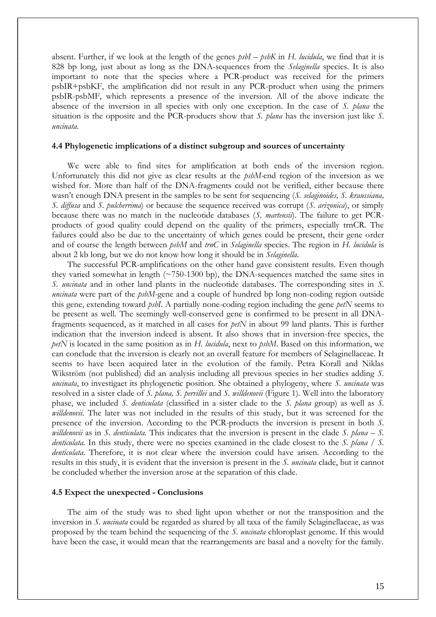absent. Further, if we look at the length of the genes *psbI – psbK* in *H. lucidula*, we find that it is 828 bp long, just about as long as the DNA-sequences from the *Selaginella* species. It is also important to note that the species where a PCR-product was received for the primers psbIR+psbKF, the amplification did not result in any PCR-product when using the primers psbIR-psbMF, which represents a presence of the inversion. All of the above indicate the absence of the inversion in all species with only one exception. In the case of *S. plana* the situation is the opposite and the PCR-products show that *S. plana* has the inversion just like *S. uncinata*.

#### **4.4 Phylogenetic implications of a distinct subgroup and sources of uncertainty**

 We were able to find sites for amplification at both ends of the inversion region. Unfortunately this did not give as clear results at the *psbM-*end region of the inversion as we wished for. More than half of the DNA-fragments could not be verified, either because there wasn't enough DNA present in the samples to be sent for sequencing (*S. selaginoides, S. kraussiana, S. diffusa* and *S. pulcherrima*) or because the sequence received was corrupt (*S. arizonica*), or simply because there was no match in the nucleotide databases (*S. martensii*). The failure to get PCRproducts of good quality could depend on the quality of the primers, especially trnCR. The failures could also be due to the uncertainty of which genes could be present, their gene order and of course the length between *psbM* and *trnC* in *Selaginella* species. The region in *H. lucidula* is about 2 kb long, but we do not know how long it should be in *Selaginella*.

 The successful PCR-amplifications on the other hand gave consistent results. Even though they varied somewhat in length  $(\sim 750-1300 \text{ bp})$ , the DNA-sequences matched the same sites in *S. uncinata* and in other land plants in the nucleotide databases. The corresponding sites in *S. uncinata* were part of the *psbM*-gene and a couple of hundred bp long non-coding region outside this gene, extending toward *psbI*. A partially none-coding region including the gene *petN* seems to be present as well. The seemingly well-conserved gene is confirmed to be present in all DNAfragments sequenced, as it matched in all cases for *petN* in about 99 land plants. This is further indication that the inversion indeed is absent. It also shows that in inversion-free species, the *petN* is located in the same position as in *H. lucidula*, next to *psbM*. Based on this information, we can conclude that the inversion is clearly not an overall feature for members of Selaginellaceae. It seems to have been acquired later in the evolution of the family. Petra Korall and Niklas Wikström (not published) did an analysis including all previous species in her studies adding *S. uncinata*, to investigaet its phylogenetic position. She obtained a phylogeny, where *S. uncinata* was resolved in a sister clade of *S. plana, S. pervillei* and *S. willdenovii* (Figure 1)*.* Well into the laboratory phase, we included *S. denticulata* (classified in a sister clade to the *S. plana* group) as well as *S. willdenovii*. The later was not included in the results of this study, but it was screened for the presence of the inversion. According to the PCR-products the inversion is present in both *S. willdenovii* as in *S. denticulata.* This indicates that the inversion is present in the clade *S. plana – S. denticulata.* In this study, there were no species examined in the clade closest to the *S. plana* / *S. denticulata*. Therefore, it is not clear where the inversion could have arisen. According to the results in this study, it is evident that the inversion is present in the *S. uncinata* clade, but it cannot be concluded whether the inversion arose at the separation of this clade.

## **4.5 Expect the unexpected - Conclusions**

 The aim of the study was to shed light upon whether or not the transposition and the inversion in *S. uncinata* could be regarded as shared by all taxa of the family Selaginellaceae, as was proposed by the team behind the sequencing of the *S. uncinata* chloroplast genome. If this would have been the case, it would mean that the rearrangements are basal and a novelty for the family.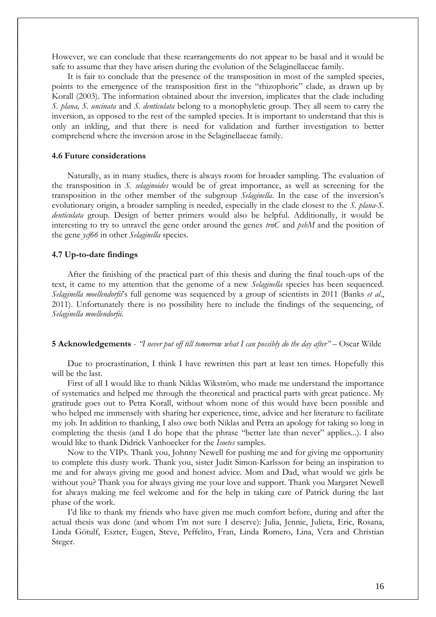However, we can conclude that these rearrangements do not appear to be basal and it would be safe to assume that they have arisen during the evolution of the Selaginellaceae family.

 It is fair to conclude that the presence of the transposition in most of the sampled species, points to the emergence of the transposition first in the "rhizophoric" clade, as drawn up by Korall (2003). The information obtained about the inversion, implicates that the clade including *S. plana, S. uncinata* and *S. denticulata* belong to a monophyletic group. They all seem to carry the inversion, as opposed to the rest of the sampled species. It is important to understand that this is only an inkling, and that there is need for validation and further investigation to better comprehend where the inversion arose in the Selaginellaceae family.

### **4.6 Future considerations**

 Naturally, as in many studies, there is always room for broader sampling. The evaluation of the transposition in *S. selaginoides* would be of great importance, as well as screening for the transposition in the other member of the subgroup *Selaginella*. In the case of the inversion's evolutionary origin, a broader sampling is needed, especially in the clade closest to the *S. plana-S. denticulata* group. Design of better primers would also be helpful. Additionally, it would be interesting to try to unravel the gene order around the genes *trnC* and *psbM* and the position of the gene *ycf66* in other *Selaginella* species.

## **4.7 Up-to-date findings**

 After the finishing of the practical part of this thesis and during the final touch-ups of the text, it came to my attention that the genome of a new *Selaginella* species has been sequenced. *Selaginella moellendorfii*'s full genome was sequenced by a group of scientists in 2011 (Banks *et al*., 2011). Unfortunately there is no possibility here to include the findings of the sequencing, of *Selaginella moellendorfii*.

#### **5 Acknowledgements** - *"I never put off till tomorrow what I can possibly do the day after" –* Oscar Wilde

 Due to procrastination, I think I have rewritten this part at least ten times. Hopefully this will be the last.

 First of all I would like to thank Niklas Wikström, who made me understand the importance of systematics and helped me through the theoretical and practical parts with great patience. My gratitude goes out to Petra Korall, without whom none of this would have been possible and who helped me immensely with sharing her experience, time, advice and her literature to facilitate my job. In addition to thanking, I also owe both Niklas and Petra an apology for taking so long in completing the thesis (and I do hope that the phrase "better late than never" applies...). I also would like to thank Didrick Vanhoecker for the *Isoetes* samples.

Now to the VIPs. Thank you, Johnny Newell for pushing me and for giving me opportunity to complete this dusty work. Thank you, sister Judit Simon-Karlsson for being an inspiration to me and for always giving me good and honest advice. Mom and Dad, what would we girls be without you? Thank you for always giving me your love and support. Thank you Margaret Newell for always making me feel welcome and for the help in taking care of Patrick during the last phase of the work.

I'd like to thank my friends who have given me much comfort before, during and after the actual thesis was done (and whom I'm not sure I deserve): Julia, Jennie, Julieta, Eric, Rosana, Linda Götulf, Eszter, Eugen, Steve, Peffelito, Fran, Linda Romero, Lina, Vera and Christian Steger.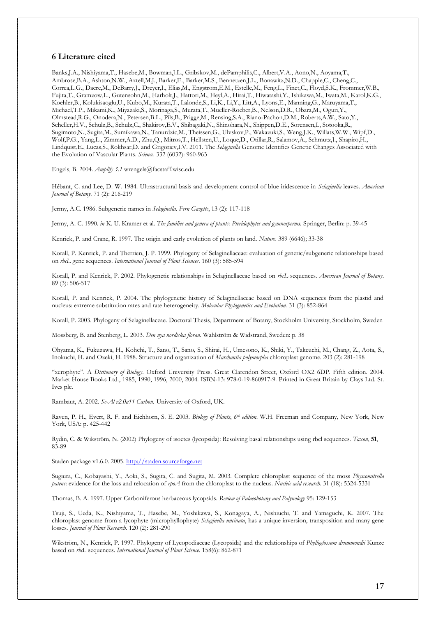## **6 Literature cited**

Banks,J.A., Nishiyama,T., Hasebe,M., Bowman,J.L., Gribskov,M., dePamphilis,C., Albert,V.A., Aono,N., Aoyama,T., Ambrose,B.A., Ashton,N.W., Axtell,M.J., Barker,E., Barker,M.S., Bennetzen,J.L., Bonawitz,N.D., Chapple,C., Cheng,C., Correa,L.G., Dacre,M., DeBarry,J., Dreyer,I., Elias,M., Engstrom,E.M., Estelle,M., Feng,L., Finet,C., Floyd,S.K., Frommer,W.B., Fujita,T., Gramzow,L., Gutensohn,M., Harholt,J., Hattori,M., Heyl,A., Hirai,T., Hiwatashi,Y., Ishikawa,M., Iwata,M., Karol,K.G., Koehler,B., Kolukisaoglu,U., Kubo,M., Kurata,T., Lalonde,S., Li,K., Li,Y., Litt,A., Lyons,E., Manning,G., Maruyama,T., Michael,T.P., Mikami,K., Miyazaki,S., Morinaga,S., Murata,T., Mueller-Roeber,B., Nelson,D.R., Obara,M., Oguri,Y., Olmstead,R.G., Onodera,N., Petersen,B.L., Pils,B., Prigge,M., Rensing,S.A., Riano-Pachon,D.M., Roberts,A.W., Sato,Y., Scheller,H.V., Schulz,B., Schulz,C., Shakirov,E.V., Shibagaki,N., Shinohara,N., Shippen,D.E., Sorensen,I., Sotooka,R., Sugimoto,N., Sugita,M., Sumikawa,N., Tanurdzic,M., Theissen,G., Ulvskov,P., Wakazuki,S., Weng,J.K., Willats,W.W., Wipf,D., Wolf,P.G., Yang,L., Zimmer,A.D., Zhu,Q., Mitros,T., Hellsten,U., Loque,D., Otillar,R., Salamov,A., Schmutz,J., Shapiro,H., Lindquist,E., Lucas,S., Rokhsar,D. and Grigoriev,I.V. 2011. The *Selaginella* Genome Identifies Genetic Changes Associated with the Evolution of Vascular Plants. *Science*. 332 (6032): 960-963

Engels, B. 2004. *Amplify 3.1* wrengels@facstaff.wisc.edu

Hébant, C. and Lee, D. W. 1984. Ultrastructural basis and development control of blue iridescence in *Selaginella* leaves. *American Journal of Botany*. 71 (2): 216-219

Jermy, A.C. 1986. Subgeneric names in *Selaginella*. *Fern Gazette*, 13 (2): 117-118

Jermy, A. C. 1990. *in* K. U. Kramer et al. *The families and genera of plants: Pteridophytes and gymnosperms.* Springer, Berlin: p. 39-45

Kenrick, P. and Crane, R. 1997. The origin and early evolution of plants on land. *Nature*. 389 (6646); 33-38

Korall, P. Kenrick, P. and Therrien, J. P. 1999. Phylogeny of Selaginellaceae: evaluation of generic/subgeneric relationships based on *rbcL* gene sequences. *International Journal of Plant Sciences*. 160 (3): 585-594

Korall, P. and Kenrick, P. 2002. Phylogenetic relationships in Selaginellaceae based on *rbcL* sequences. *American Journal of Botany*. 89 (3): 506-517

Korall, P. and Kenrick, P. 2004. The phylogenetic history of Selaginellaceae based on DNA sequences from the plastid and nucleus: extreme substitution rates and rate heterogeneity. *Molecular Phylogenetics and Evolution.* 31 (3): 852-864

Korall, P. 2003. Phylogeny of Selaginellaceae. Doctoral Thesis, Department of Botany, Stockholm University, Stockholm, Sweden

Mossberg, B. and Stenberg, L. 2003. *Den nya nordiska floran.* Wahlström & Widstrand, Sweden: p. 38

Ohyama, K., Fukuzawa, H., Kohchi, T., Sano, T., Sano, S., Shirai, H., Umesono, K., Shiki, Y., Takeuchi, M., Chang, Z., Aota, S., Inokuchi, H. and Ozeki, H. 1988. Structure and organization of *Marchantia polymorpha* chloroplast genome. 203 (2): 281-198

"xerophyte". A *Dictionary of Biology*. Oxford University Press. Great Clarendon Street, Oxford OX2 6DP. Fifth edition. 2004. Market House Books Ltd., 1985, 1990, 1996, 2000, 2004. ISBN-13: 978-0-19-860917-9. Printed in Great Britain by Clays Ltd. St. Ives plc.

Rambaut, A. 2002. *Se-Al v2.0a11 Carbon.* University of Oxford, UK.

Raven, P. H., Evert, R. F. and Eichhorn, S. E. 2003. *Biology of Plants*, *6th edition*. W.H. Freeman and Company, New York, New York, USA: p. 425-442

Rydin, C. & Wikström, N. (2002) Phylogeny of isoetes (lycopsida): Resolving basal relationships using rbcl sequences. *Taxon*, **51**, 83-89

Staden package v1.6.0. 2005[. http://staden.sourceforge.net](http://staden.sourceforge.net/)

Sugiura, C., Kobayashi, Y., Aoki, S., Sugita, C. and Sugita, M. 2003. Complete chloroplast sequence of the moss *Physcomitrella patens*: evidence for the loss and relocation of *rpoA* from the chloroplast to the nucleus. *Nucleic acid research*. 31 (18): 5324-5331

Thomas, B. A. 1997. Upper Carboniferous herbaceous lycopsids. *Review of Palaeobotany and Palynology* 95: 129-153

Tsuji, S., Ueda, K., Nishiyama, T., Hasebe, M., Yoshikawa, S., Konagaya, A., Nishiuchi, T. and Yamaguchi, K. 2007. The chloroplast genome from a lycophyte (microphyllophyte) *Selaginella uncinata*, has a unique inversion, transposition and many gene losses. *Journal of Plant Research*. 120 (2): 281-290

Wikström, N., Kenrick, P. 1997. Phylogeny of Lycopodiaceae (Lycopsida) and the relationships of *Phylloglossum drummondii* Kunze based on *rbc*L sequences. *International Journal of Plant Science*. 158(6): 862-871